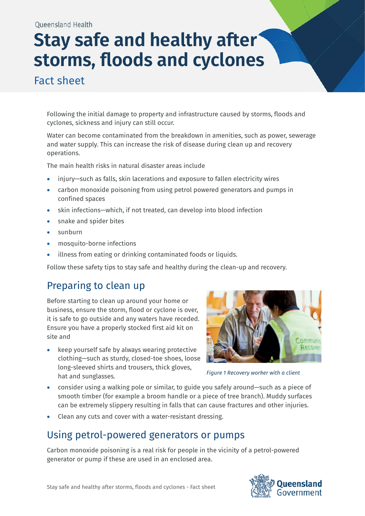# **Stay safe and healthy after storms, floods and cyclones**

Fact sheet

Following the initial damage to property and infrastructure caused by storms, floods and cyclones, sickness and injury can still occur.

Water can become contaminated from the breakdown in amenities, such as power, sewerage and water supply. This can increase the risk of disease during clean up and recovery operations.

The main health risks in natural disaster areas include

- injury—such as falls, skin lacerations and exposure to fallen electricity wires
- carbon monoxide poisoning from using petrol powered generators and pumps in confined spaces
- skin infections—which, if not treated, can develop into blood infection
- snake and spider bites
- sunburn
- mosquito-borne infections
- illness from eating or drinking contaminated foods or liquids.

Follow these safety tips to stay safe and healthy during the clean-up and recovery.

### Preparing to clean up

Before starting to clean up around your home or business, ensure the storm, flood or cyclone is over, it is safe to go outside and any waters have receded. Ensure you have a properly stocked first aid kit on site and

keep yourself safe by always wearing protective clothing—such as sturdy, closed-toe shoes, loose long-sleeved shirts and trousers, thick gloves, hat and sunglasses.



*Figure 1 Recovery worker with a client*

- consider using a walking pole or similar, to guide you safely around—such as a piece of smooth timber (for example a broom handle or a piece of tree branch). Muddy surfaces can be extremely slippery resulting in falls that can cause fractures and other injuries.
- Clean any cuts and cover with a water-resistant dressing.

### Using petrol-powered generators or pumps

Carbon monoxide poisoning is a real risk for people in the vicinity of a petrol-powered generator or pump if these are used in an enclosed area.

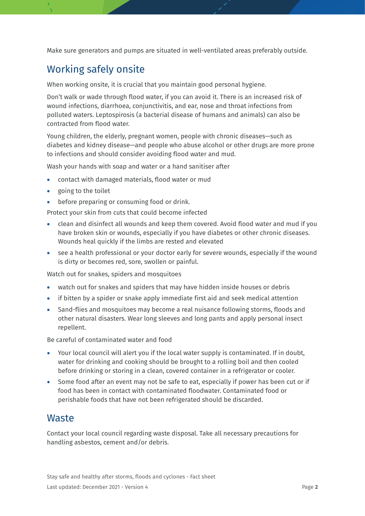Make sure generators and pumps are situated in well-ventilated areas preferably outside.

#### Working safely onsite

When working onsite, it is crucial that you maintain good personal hygiene.

Don't walk or wade through flood water, if you can avoid it. There is an increased risk of wound infections, diarrhoea, conjunctivitis, and ear, nose and throat infections from polluted waters. Leptospirosis (a bacterial disease of humans and animals) can also be contracted from flood water.

Young children, the elderly, pregnant women, people with chronic diseases—such as diabetes and kidney disease—and people who abuse alcohol or other drugs are more prone to infections and should consider avoiding flood water and mud.

Wash your hands with soap and water or a hand sanitiser after

- contact with damaged materials, flood water or mud
- going to the toilet
- before preparing or consuming food or drink.

Protect your skin from cuts that could become infected

- clean and disinfect all wounds and keep them covered. Avoid flood water and mud if you have broken skin or wounds, especially if you have diabetes or other chronic diseases. Wounds heal quickly if the limbs are rested and elevated
- see a health professional or your doctor early for severe wounds, especially if the wound is dirty or becomes red, sore, swollen or painful.

Watch out for snakes, spiders and mosquitoes

- watch out for snakes and spiders that may have hidden inside houses or debris
- if bitten by a spider or snake apply immediate first aid and seek medical attention
- Sand-flies and mosquitoes may become a real nuisance following storms, floods and other natural disasters. Wear long sleeves and long pants and apply personal insect repellent.

Be careful of contaminated water and food

- Your local council will alert you if the local water supply is contaminated. If in doubt, water for drinking and cooking should be brought to a rolling boil and then cooled before drinking or storing in a clean, covered container in a refrigerator or cooler.
- Some food after an event may not be safe to eat, especially if power has been cut or if food has been in contact with contaminated floodwater. Contaminated food or perishable foods that have not been refrigerated should be discarded.

#### **Waste**

Contact your local council regarding waste disposal. Take all necessary precautions for handling asbestos, cement and/or debris.